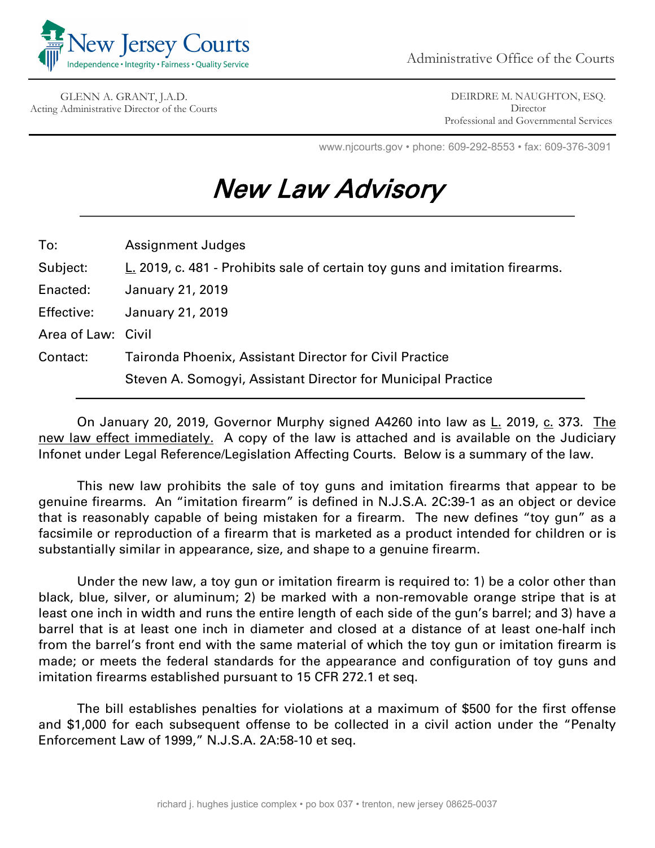

GLENN A. GRANT, J.A.D. Acting Administrative Director of the Courts

DEIRDRE M. NAUGHTON, ESQ. **Director** Professional and Governmental Services

www.njcourts.gov • phone: 609-292-8553 • fax: 609-376-3091

## New Law Advisory

| To:                | <b>Assignment Judges</b>                                                     |
|--------------------|------------------------------------------------------------------------------|
| Subject:           | L. 2019, c. 481 - Prohibits sale of certain toy guns and imitation firearms. |
| Enacted:           | <b>January 21, 2019</b>                                                      |
| Effective:         | <b>January 21, 2019</b>                                                      |
| Area of Law: Civil |                                                                              |
| Contact:           | <b>Taironda Phoenix, Assistant Director for Civil Practice</b>               |
|                    | Steven A. Somogyi, Assistant Director for Municipal Practice                 |

On January 20, 2019, Governor Murphy signed A4260 into law as L. 2019, c. 373. The new law effect immediately. A copy of the law is attached and is available on the Judiciary Infonet under Legal Reference/Legislation Affecting Courts. Below is a summary of the law.

This new law prohibits the sale of toy guns and imitation firearms that appear to be genuine firearms. An "imitation firearm" is defined in N.J.S.A. 2C:39-1 as an object or device that is reasonably capable of being mistaken for a firearm. The new defines "toy gun" as a facsimile or reproduction of a firearm that is marketed as a product intended for children or is substantially similar in appearance, size, and shape to a genuine firearm.

Under the new law, a toy gun or imitation firearm is required to: 1) be a color other than black, blue, silver, or aluminum; 2) be marked with a non-removable orange stripe that is at least one inch in width and runs the entire length of each side of the gun's barrel; and 3) have a barrel that is at least one inch in diameter and closed at a distance of at least one-half inch from the barrel's front end with the same material of which the toy gun or imitation firearm is made; or meets the federal standards for the appearance and configuration of toy guns and imitation firearms established pursuant to 15 CFR 272.1 et seq.

The bill establishes penalties for violations at a maximum of \$500 for the first offense and \$1,000 for each subsequent offense to be collected in a civil action under the "Penalty Enforcement Law of 1999," N.J.S.A. 2A:58-10 et seq.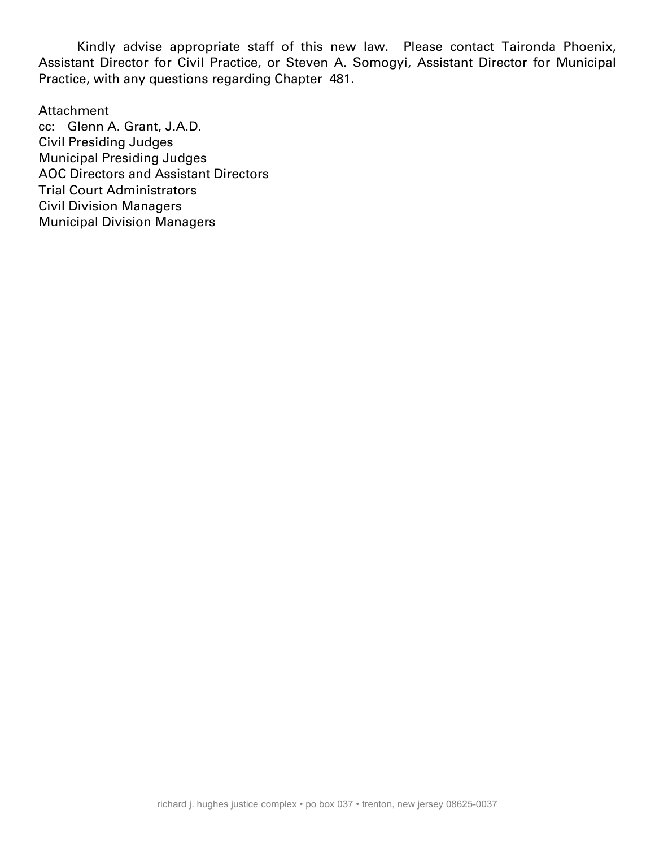Kindly advise appropriate staff of this new law. Please contact Taironda Phoenix, Assistant Director for Civil Practice, or Steven A. Somogyi, Assistant Director for Municipal Practice, with any questions regarding Chapter 481.

## Attachment

cc: Glenn A. Grant, J.A.D. Civil Presiding Judges Municipal Presiding Judges AOC Directors and Assistant Directors Trial Court Administrators Civil Division Managers Municipal Division Managers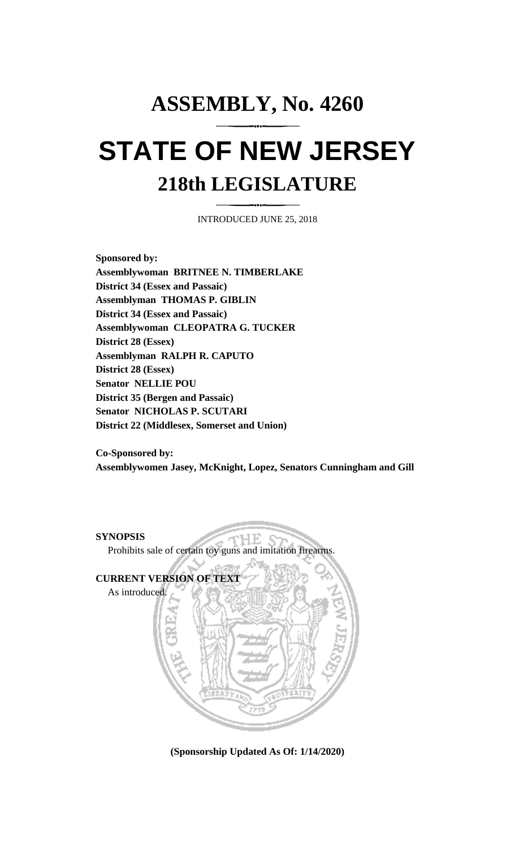## **ASSEMBLY, No. 4260 STATE OF NEW JERSEY 218th LEGISLATURE**

INTRODUCED JUNE 25, 2018

**Sponsored by: Assemblywoman BRITNEE N. TIMBERLAKE District 34 (Essex and Passaic) Assemblyman THOMAS P. GIBLIN District 34 (Essex and Passaic) Assemblywoman CLEOPATRA G. TUCKER District 28 (Essex) Assemblyman RALPH R. CAPUTO District 28 (Essex) Senator NELLIE POU District 35 (Bergen and Passaic) Senator NICHOLAS P. SCUTARI District 22 (Middlesex, Somerset and Union)**

**Co-Sponsored by: Assemblywomen Jasey, McKnight, Lopez, Senators Cunningham and Gill**

**SYNOPSIS** HЕ Prohibits sale of certain toy guns and imitation firearms. **CURRENT VERSION OF TEXT**  As introduced.

**(Sponsorship Updated As Of: 1/14/2020)**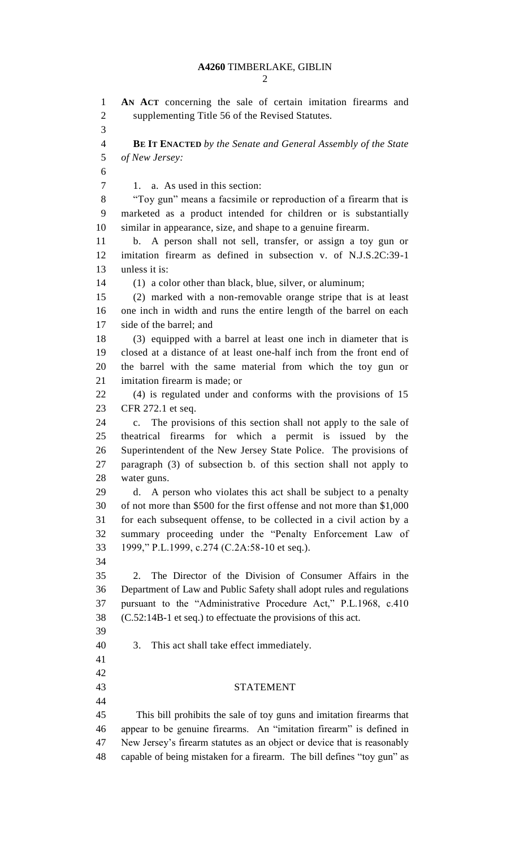## **A4260** TIMBERLAKE, GIBLIN

 **AN ACT** concerning the sale of certain imitation firearms and supplementing Title 56 of the Revised Statutes. **BE IT ENACTED** *by the Senate and General Assembly of the State of New Jersey:* 1. a. As used in this section: "Toy gun" means a facsimile or reproduction of a firearm that is marketed as a product intended for children or is substantially similar in appearance, size, and shape to a genuine firearm. b. A person shall not sell, transfer, or assign a toy gun or imitation firearm as defined in subsection v. of N.J.S.2C:39-1 unless it is: (1) a color other than black, blue, silver, or aluminum; (2) marked with a non-removable orange stripe that is at least one inch in width and runs the entire length of the barrel on each side of the barrel; and (3) equipped with a barrel at least one inch in diameter that is closed at a distance of at least one-half inch from the front end of the barrel with the same material from which the toy gun or imitation firearm is made; or (4) is regulated under and conforms with the provisions of 15 CFR 272.1 et seq. c. The provisions of this section shall not apply to the sale of theatrical firearms for which a permit is issued by the Superintendent of the New Jersey State Police. The provisions of paragraph (3) of subsection b. of this section shall not apply to water guns. d. A person who violates this act shall be subject to a penalty of not more than \$500 for the first offense and not more than \$1,000 for each subsequent offense, to be collected in a civil action by a summary proceeding under the "Penalty Enforcement Law of 1999," P.L.1999, c.274 (C.2A:58-10 et seq.). 2. The Director of the Division of Consumer Affairs in the Department of Law and Public Safety shall adopt rules and regulations pursuant to the "Administrative Procedure Act," P.L.1968, c.410 (C.52:14B-1 et seq.) to effectuate the provisions of this act. 3. This act shall take effect immediately. STATEMENT This bill prohibits the sale of toy guns and imitation firearms that appear to be genuine firearms. An "imitation firearm" is defined in New Jersey's firearm statutes as an object or device that is reasonably capable of being mistaken for a firearm. The bill defines "toy gun" as